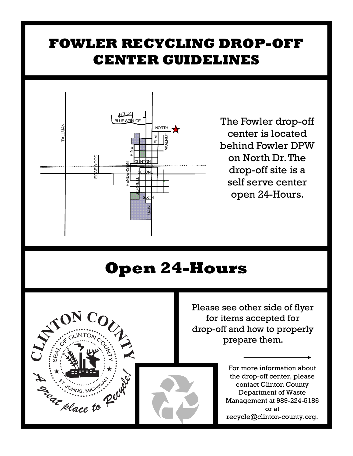## **FOWLER RECYCLING DROP-OFF CENTER GUIDELINES**



The Fowler drop-off center is located behind Fowler DPW on North Dr. The drop-off site is a self serve center open 24-Hours.

## **Open 24-Hours**



Please see other side of flyer for items accepted for drop-off and how to properly prepare them.

> For more information about the drop-off center, please contact Clinton County Department of Waste Management at 989-224-5186 or at recycle@clinton-county.org.